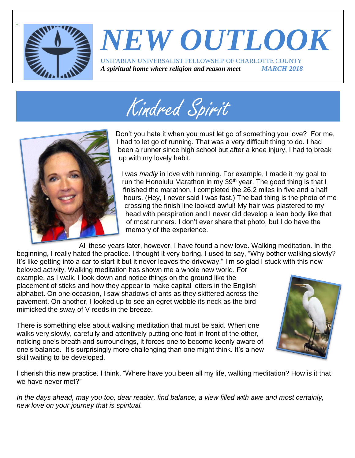

## *NEW OUTLOOK* UNITARIAN UNIVERSALIST FELLOWSHIP OF CHARLOTTE COUNTY *A spiritual home where religion and reason meet MARCH 2018*





Don't you hate it when you must let go of something you love? For me, I had to let go of running. That was a very difficult thing to do. I had been a runner since high school but after a knee injury, I had to break up with my lovely habit.

I was *madly* in love with running. For example, I made it my goal to run the Honolulu Marathon in my 39<sup>th</sup> year. The good thing is that I finished the marathon. I completed the 26.2 miles in five and a half hours. (Hey, I never said I was fast.) The bad thing is the photo of me crossing the finish line looked awful! My hair was plastered to my head with perspiration and I never did develop a lean body like that of most runners. I don't ever share that photo, but I do have the memory of the experience.

All these years later, however, I have found a new love. Walking meditation. In the beginning, I really hated the practice. I thought it very boring. I used to say, "Why bother walking slowly? It's like getting into a car to start it but it never leaves the driveway." I'm so glad I stuck with this new

beloved activity. Walking meditation has shown me a whole new world. For example, as I walk, I look down and notice things on the ground like the placement of sticks and how they appear to make capital letters in the English alphabet. On one occasion, I saw shadows of ants as they skittered across the pavement. On another, I looked up to see an egret wobble its neck as the bird mimicked the sway of V reeds in the breeze.

There is something else about walking meditation that must be said. When one walks very slowly, carefully and attentively putting one foot in front of the other, noticing one's breath and surroundings, it forces one to become keenly aware of one's balance. It's surprisingly more challenging than one might think. It's a new skill waiting to be developed.



Page 1

I cherish this new practice. I think, "Where have you been all my life, walking meditation? How is it that we have never met?"

*In the days ahead, may you too, dear reader, find balance, a view filled with awe and most certainly, new love on your journey that is spiritual.*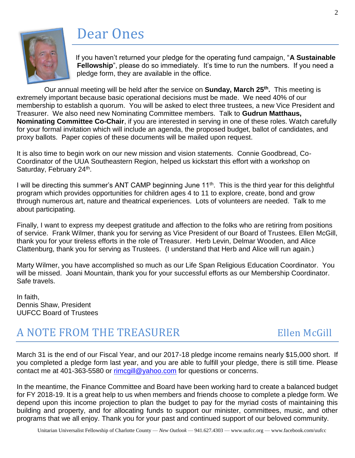## Dear Ones



If you haven't returned your pledge for the operating fund campaign, "**A Sustainable Fellowship**", please do so immediately. It's time to run the numbers. If you need a pledge form, they are available in the office.

Our annual meeting will be held after the service on **Sunday, March 25th .** This meeting is extremely important because basic operational decisions must be made. We need 40% of our membership to establish a quorum. You will be asked to elect three trustees, a new Vice President and Treasurer. We also need new Nominating Committee members. Talk to **Gudrun Matthaus, Nominating Committee Co-Chair**, if you are interested in serving in one of these roles. Watch carefully for your formal invitation which will include an agenda, the proposed budget, ballot of candidates, and proxy ballots. Paper copies of these documents will be mailed upon request.

It is also time to begin work on our new mission and vision statements. Connie Goodbread, Co-Coordinator of the UUA Southeastern Region, helped us kickstart this effort with a workshop on Saturday, February 24<sup>th</sup>.

I will be directing this summer's ANT CAMP beginning June 11<sup>th</sup>. This is the third year for this delightful program which provides opportunities for children ages 4 to 11 to explore, create, bond and grow through numerous art, nature and theatrical experiences. Lots of volunteers are needed. Talk to me about participating.

Finally, I want to express my deepest gratitude and affection to the folks who are retiring from positions of service. Frank Wilmer, thank you for serving as Vice President of our Board of Trustees. Ellen McGill, thank you for your tireless efforts in the role of Treasurer. Herb Levin, Delmar Wooden, and Alice Clattenburg, thank you for serving as Trustees. (I understand that Herb and Alice will run again.)

Marty Wilmer, you have accomplished so much as our Life Span Religious Education Coordinator. You will be missed. Joani Mountain, thank you for your successful efforts as our Membership Coordinator. Safe travels.

In faith, Dennis Shaw, President UUFCC Board of Trustees

## A NOTE FROM THE TREASURER Ellen McGill

March 31 is the end of our Fiscal Year, and our 2017-18 pledge income remains nearly \$15,000 short. If you completed a pledge form last year, and you are able to fulfill your pledge, there is still time. Please contact me at 401-363-5580 or [rimcgill@yahoo.com](mailto:rimcgill@yahoo.com) for questions or concerns.

In the meantime, the Finance Committee and Board have been working hard to create a balanced budget for FY 2018-19. It is a great help to us when members and friends choose to complete a pledge form. We depend upon this income projection to plan the budget to pay for the myriad costs of maintaining this building and property, and for allocating funds to support our minister, committees, music, and other programs that we all enjoy. Thank you for your past and continued support of our beloved community.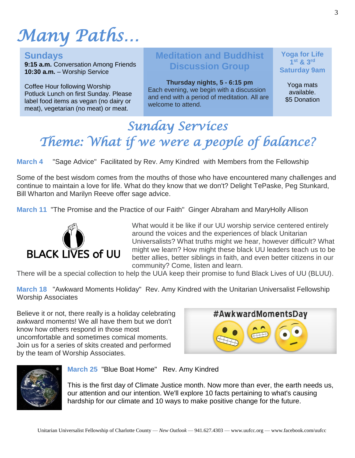# *Many Paths…*

**Sundays**

**9:15 a.m.** Conversation Among Friends **10:30 a.m.** – Worship Service

Coffee Hour following Worship Potluck Lunch on first Sunday. Please label food items as vegan (no dairy or meat), vegetarian (no meat) or meat.

## **Meditation and Buddhist Discussion Group**

**Thursday nights, 5 - 6:15 pm** Each evening, we begin with a discussion and end with a period of meditation. All are welcome to attend.

**Yoga for Life 1 st & 3rd Saturday 9am**

> Yoga mats available. \$5 Donation

## *Sunday Services Theme: What if we were a people of balance?*

**March 4** "Sage Advice" Facilitated by Rev. Amy Kindred with Members from the Fellowship

Some of the best wisdom comes from the mouths of those who have encountered many challenges and continue to maintain a love for life. What do they know that we don't? Delight TePaske, Peg Stunkard, Bill Wharton and Marilyn Reeve offer sage advice.

**March 11** "The Promise and the Practice of our Faith" Ginger Abraham and MaryHolly Allison



What would it be like if our UU worship service centered entirely around the voices and the experiences of black Unitarian Universalists? What truths might we hear, however difficult? What might we learn? How might these black UU leaders teach us to be better allies, better siblings in faith, and even better citizens in our community? Come, listen and learn.

There will be a special collection to help the UUA keep their promise to fund Black Lives of UU (BLUU).

**March 18** "Awkward Moments Holiday" Rev. Amy Kindred with the Unitarian Universalist Fellowship Worship Associates

Believe it or not, there really is a holiday celebrating awkward moments! We all have them but we don't know how others respond in those most uncomfortable and sometimes comical moments. Join us for a series of skits created and performed by the team of Worship Associates.





**March 25** "Blue Boat Home" Rev. Amy Kindred

This is the first day of Climate Justice month. Now more than ever, the earth needs us, our attention and our intention. We'll explore 10 facts pertaining to what's causing hardship for our climate and 10 ways to make positive change for the future.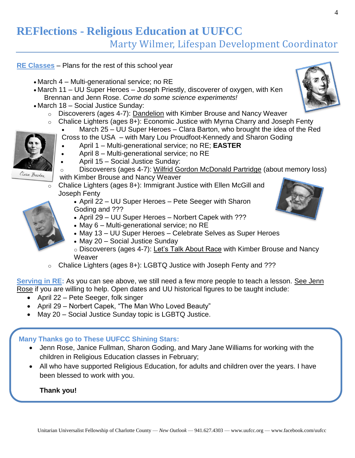## **REFlections - Religious Education at UUFCC**

Marty Wilmer, Lifespan Development Coordinator

#### **RE Classes** – Plans for the rest of this school year

- March 4 Multi-generational service; no RE
- March 11 UU Super Heroes Joseph Priestly, discoverer of oxygen, with Ken Brennan and Jenn Rose. *Come do some science experiments!*
- March 18 Social Justice Sunday:
	- $\circ$  Discoverers (ages 4-7): Dandelion with Kimber Brouse and Nancy Weaver
	- $\circ$  Chalice Lighters (ages 8+): Economic Justice with Myrna Charry and Joseph Fenty
		- March 25 UU Super Heroes Clara Barton, who brought the idea of the Red Cross to the USA – with Mary Lou Proudfoot-Kennedy and Sharon Goding
			- April 1 Multi-generational service; no RE; **EASTER**
			- April 8 Multi-generational service; no RE
		- April 15 Social Justice Sunday:
		- o Discoverers (ages 4-7): Wilfrid Gordon McDonald Partridge (about memory loss) with Kimber Brouse and Nancy Weaver
	- $\overline{\circ}$  Chalice Lighters (ages 8+): Immigrant Justice with Ellen McGill and Joseph Fenty
		- April 22 UU Super Heroes Pete Seeger with Sharon Goding and ???
		- April 29 UU Super Heroes Norbert Capek with ???
		- May 6 Multi-generational service; no RE
		- May 13 UU Super Heroes Celebrate Selves as Super Heroes
		- May 20 Social Justice Sunday
		- o Discoverers (ages 4-7): Let's Talk About Race with Kimber Brouse and Nancy **Weaver**
	- $\circ$  Chalice Lighters (ages 8+): LGBTQ Justice with Joseph Fenty and ???

**Serving in RE:** As you can see above, we still need a few more people to teach a lesson. See Jenn Rose if you are willing to help. Open dates and UU historical figures to be taught include:

- April 22 Pete Seeger, folk singer
- April 29 Norbert Capek, "The Man Who Loved Beauty"
- May 20 Social Justice Sunday topic is LGBTQ Justice.

#### **Many Thanks go to These UUFCC Shining Stars:**

- Jenn Rose, Janice Fullman, Sharon Goding, and Mary Jane Williams for working with the children in Religious Education classes in February;
- All who have supported Religious Education, for adults and children over the years. I have been blessed to work with you.

#### **Thank you!**







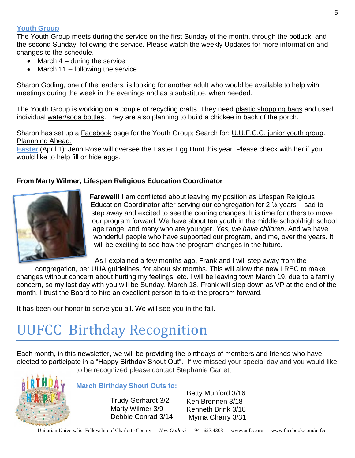#### **Youth Group**

The Youth Group meets during the service on the first Sunday of the month, through the potluck, and the second Sunday, following the service. Please watch the weekly Updates for more information and changes to the schedule.

- March  $4 -$  during the service
- March 11 following the service

Sharon Goding, one of the leaders, is looking for another adult who would be available to help with meetings during the week in the evenings and as a substitute, when needed.

The Youth Group is working on a couple of recycling crafts. They need plastic shopping bags and used individual water/soda bottles. They are also planning to build a chickee in back of the porch.

Sharon has set up a Facebook page for the Youth Group; Search for: U.U.F.C.C. junior youth group. Plannning Ahead:

**Easter** (April 1): Jenn Rose will oversee the Easter Egg Hunt this year. Please check with her if you would like to help fill or hide eggs.

#### **From Marty Wilmer, Lifespan Religious Education Coordinator**



**Farewell!** I am conflicted about leaving my position as Lifespan Religious Education Coordinator after serving our congregation for 2 ½ years – sad to step away and excited to see the coming changes. It is time for others to move our program forward. We have about ten youth in the middle school/high school age range, and many who are younger. *Yes, we have children*. And we have wonderful people who have supported our program, and me, over the years. It will be exciting to see how the program changes in the future.

As I explained a few months ago, Frank and I will step away from the

congregation, per UUA guidelines, for about six months. This will allow the new LREC to make changes without concern about hurting my feelings, etc. I will be leaving town March 19, due to a family concern, so my last day with you will be Sunday, March 18. Frank will step down as VP at the end of the month. I trust the Board to hire an excellent person to take the program forward.

It has been our honor to serve you all. We will see you in the fall.

# UUFCC Birthday Recognition

Each month, in this newsletter, we will be providing the birthdays of members and friends who have elected to participate in a "Happy Birthday Shout Out". If we missed your special day and you would like to be recognized please contact Stephanie Garrett



**March Birthday Shout Outs to:** 

Trudy Gerhardt 3/2 Marty Wilmer 3/9 Debbie Conrad 3/14 Betty Munford 3/16 Ken Brennen 3/18 Kenneth Brink 3/18 Myrna Charry 3/31

Unitarian Universalist Fellowship of Charlotte County — *New Outlook* — 941.627.4303 — www.uufcc.org — www.facebook.com/uufcc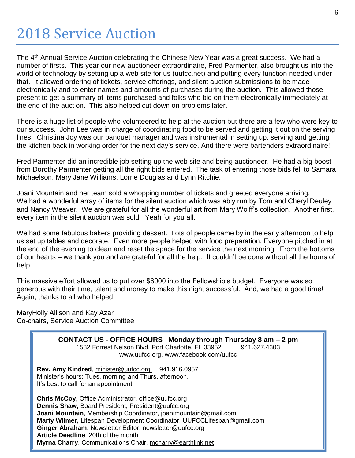The 4<sup>th</sup> Annual Service Auction celebrating the Chinese New Year was a great success. We had a number of firsts. This year our new auctioneer extraordinaire, Fred Parmenter, also brought us into the world of technology by setting up a web site for us (uufcc.net) and putting every function needed under that. It allowed ordering of tickets, service offerings, and silent auction submissions to be made electronically and to enter names and amounts of purchases during the auction. This allowed those present to get a summary of items purchased and folks who bid on them electronically immediately at the end of the auction. This also helped cut down on problems later.

There is a huge list of people who volunteered to help at the auction but there are a few who were key to our success. John Lee was in charge of coordinating food to be served and getting it out on the serving lines. Christina Joy was our banquet manager and was instrumental in setting up, serving and getting the kitchen back in working order for the next day's service. And there were bartenders extraordinaire!

Fred Parmenter did an incredible job setting up the web site and being auctioneer. He had a big boost from Dorothy Parmenter getting all the right bids entered. The task of entering those bids fell to Samara Michaelson, Mary Jane Williams, Lorrie Douglas and Lynn Ritchie.

Joani Mountain and her team sold a whopping number of tickets and greeted everyone arriving. We had a wonderful array of items for the silent auction which was ably run by Tom and Cheryl Deuley and Nancy Weaver. We are grateful for all the wonderful art from Mary Wolff's collection. Another first, every item in the silent auction was sold. Yeah for you all.

We had some fabulous bakers providing dessert. Lots of people came by in the early afternoon to help us set up tables and decorate. Even more people helped with food preparation. Everyone pitched in at the end of the evening to clean and reset the space for the service the next morning. From the bottoms of our hearts – we thank you and are grateful for all the help. It couldn't be done without all the hours of help.

This massive effort allowed us to put over \$6000 into the Fellowship's budget. Everyone was so generous with their time, talent and money to make this night successful. And, we had a good time! Again, thanks to all who helped.

MaryHolly Allison and Kay Azar Co-chairs, Service Auction Committee



**Myrna Charry**, Communications Chair, mcharry@earthlink.net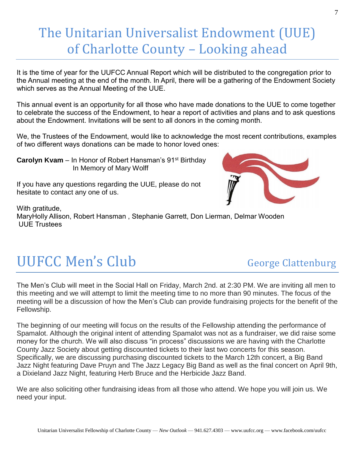## The Unitarian Universalist Endowment (UUE) of Charlotte County – Looking ahead

It is the time of year for the UUFCC Annual Report which will be distributed to the congregation prior to the Annual meeting at the end of the month. In April, there will be a gathering of the Endowment Society which serves as the Annual Meeting of the UUE.

This annual event is an opportunity for all those who have made donations to the UUE to come together to celebrate the success of the Endowment, to hear a report of activities and plans and to ask questions about the Endowment. Invitations will be sent to all donors in the coming month.

We, the Trustees of the Endowment, would like to acknowledge the most recent contributions, examples of two different ways donations can be made to honor loved ones:

**Carolyn Kvam** – In Honor of Robert Hansman's 91<sup>st</sup> Birthday In Memory of Mary Wolff

If you have any questions regarding the UUE, please do not hesitate to contact any one of us.



With gratitude, MaryHolly Allison, Robert Hansman , Stephanie Garrett, Don Lierman, Delmar Wooden UUE Trustees

# UUFCC Men's Club George Clattenburg

The Men's Club will meet in the Social Hall on Friday, March 2nd. at 2:30 PM. We are inviting all men to this meeting and we will attempt to limit the meeting time to no more than 90 minutes. The focus of the meeting will be a discussion of how the Men's Club can provide fundraising projects for the benefit of the Fellowship.

The beginning of our meeting will focus on the results of the Fellowship attending the performance of Spamalot. Although the original intent of attending Spamalot was not as a fundraiser, we did raise some money for the church. We will also discuss "in process" discussions we are having with the Charlotte County Jazz Society about getting discounted tickets to their last two concerts for this season. Specifically, we are discussing purchasing discounted tickets to the March 12th concert, a Big Band Jazz Night featuring Dave Pruyn and The Jazz Legacy Big Band as well as the final concert on April 9th, a Dixieland Jazz Night, featuring Herb Bruce and the Herbicide Jazz Band.

We are also soliciting other fundraising ideas from all those who attend. We hope you will join us. We need your input.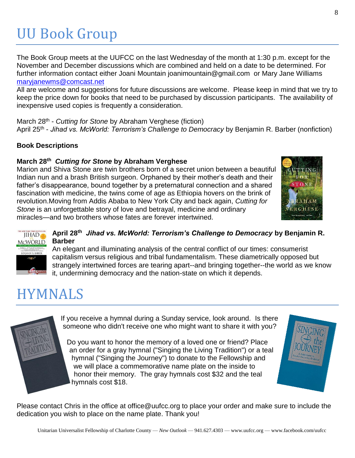# UU Book Group

The Book Group meets at the UUFCC on the last Wednesday of the month at 1:30 p.m. except for the November and December discussions which are combined and held on a date to be determined. For further information contact either Joani Mountain joanimountain@gmail.com or Mary Jane Williams [maryjanewms@comcast.net](mailto:maryjanewms@comcast.net)

All are welcome and suggestions for future discussions are welcome. Please keep in mind that we try to keep the price down for books that need to be purchased by discussion participants. The availability of inexpensive used copies is frequently a consideration.

March 28<sup>th</sup> - *Cutting for Stone* by Abraham Verghese (fiction) April 25th - *Jihad vs. McWorld: Terrorism's Challenge to Democracy* by Benjamin R. Barber (nonfiction)

#### **Book Descriptions**

#### **March 28th**  *Cutting for Stone* **by Abraham Verghese**

Marion and Shiva Stone are twin brothers born of a secret union between a beautiful Indian nun and a brash British surgeon. Orphaned by their mother's death and their father's disappearance, bound together by a preternatural connection and a shared fascination with medicine, the twins come of age as Ethiopia hovers on the brink of revolution.Moving from Addis Ababa to New York City and back again, *Cutting for Stone* is an unforgettable story of love and betrayal, medicine and ordinary miracles—and two brothers whose fates are forever intertwined.





#### **April 28th**  *Jihad vs. McWorld: Terrorism's Challenge to Democracy* **by Benjamin R. Barber**

An elegant and illuminating analysis of the central conflict of our times: consumerist capitalism versus religious and tribal fundamentalism. These diametrically opposed but strangely intertwined forces are tearing apart--and bringing together--the world as we know it, undermining democracy and the nation-state on which it depends.

## HYMNALS

If you receive a hymnal during a Sunday service, look around. Is there someone who didn't receive one who might want to share it with you?

Do you want to honor the memory of a loved one or friend? Place an order for a gray hymnal ("Singing the Living Tradition") or a teal hymnal ("Singing the Journey") to donate to the Fellowship and we will place a commemorative name plate on the inside to honor their memory. The gray hymnals cost \$32 and the teal hymnals cost \$18.



Please contact Chris in the office at office@uufcc.org to place your order and make sure to include the dedication you wish to place on the name plate. Thank you!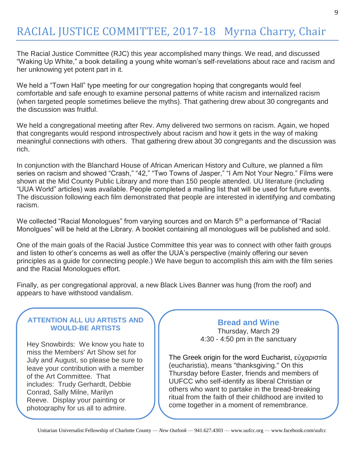The Racial Justice Committee (RJC) this year accomplished many things. We read, and discussed "Waking Up White," a book detailing a young white woman's self-revelations about race and racism and her unknowing yet potent part in it.

We held a "Town Hall" type meeting for our congregation hoping that congregants would feel comfortable and safe enough to examine personal patterns of white racism and internalized racism (when targeted people sometimes believe the myths). That gathering drew about 30 congregants and the discussion was fruitful.

We held a congregational meeting after Rev. Amy delivered two sermons on racism. Again, we hoped that congregants would respond introspectively about racism and how it gets in the way of making meaningful connections with others. That gathering drew about 30 congregants and the discussion was rich.

In conjunction with the Blanchard House of African American History and Culture, we planned a film series on racism and showed "Crash," "42," "Two Towns of Jasper," "I Am Not Your Negro." Films were shown at the Mid County Public Library and more than 150 people attended. UU literature (including "UUA World" articles) was available. People completed a mailing list that will be used for future events. The discussion following each film demonstrated that people are interested in identifying and combating racism.

We collected "Racial Monologues" from varying sources and on March 5<sup>th</sup> a performance of "Racial Monolgues" will be held at the Library. A booklet containing all monologues will be published and sold.

One of the main goals of the Racial Justice Committee this year was to connect with other faith groups and listen to other's concerns as well as offer the UUA's perspective (mainly offering our seven principles as a guide for connecting people.) We have begun to accomplish this aim with the film series and the Racial Monologues effort.

Finally, as per congregational approval, a new Black Lives Banner was hung (from the roof) and appears to have withstood vandalism.

#### **ATTENTION ALL UU ARTISTS AND WOULD-BE ARTISTS**

Hey Snowbirds: We know you hate to miss the Members' Art Show set for July and August, so please be sure to leave your contribution with a member of the Art Committee. That includes: Trudy Gerhardt, Debbie Conrad, Sally Milne, Marilyn Reeve. Display your painting or photography for us all to admire.

### **Bread and Wine**

Thursday, March 29 4:30 - 4:50 pm in the sanctuary

The Greek origin for the word Eucharist, εὐχαριστία (eucharistia), means "thanksgiving." On this Thursday before Easter, friends and members of UUFCC who self-identify as liberal Christian or others who want to partake in the bread-breaking ritual from the faith of their childhood are invited to come together in a moment of remembrance.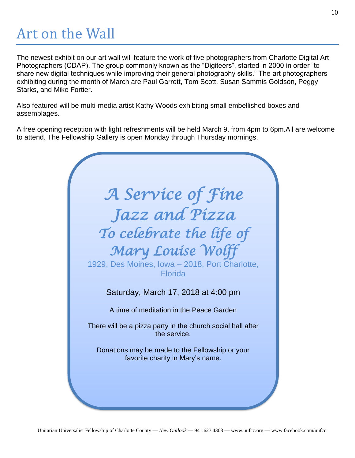# Art on the Wall

The newest exhibit on our art wall will feature the work of five photographers from Charlotte Digital Art Photographers (CDAP). The group commonly known as the "Digiteers", started in 2000 in order "to share new digital techniques while improving their general photography skills." The art photographers exhibiting during the month of March are Paul Garrett, Tom Scott, Susan Sammis Goldson, Peggy Starks, and Mike Fortier.

Also featured will be multi-media artist Kathy Woods exhibiting small embellished boxes and assemblages.

A free opening reception with light refreshments will be held March 9, from 4pm to 6pm.All are welcome to attend. The Fellowship Gallery is open Monday through Thursday mornings.